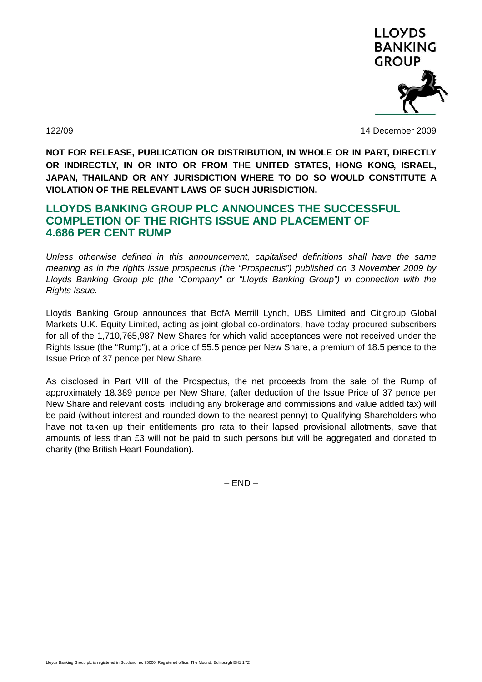

122/09 14 December 2009

**NOT FOR RELEASE, PUBLICATION OR DISTRIBUTION, IN WHOLE OR IN PART, DIRECTLY OR INDIRECTLY, IN OR INTO OR FROM THE UNITED STATES, HONG KONG, ISRAEL, JAPAN, THAILAND OR ANY JURISDICTION WHERE TO DO SO WOULD CONSTITUTE A VIOLATION OF THE RELEVANT LAWS OF SUCH JURISDICTION.** 

## **LLOYDS BANKING GROUP PLC ANNOUNCES THE SUCCESSFUL COMPLETION OF THE RIGHTS ISSUE AND PLACEMENT OF 4.686 PER CENT RUMP**

*Unless otherwise defined in this announcement, capitalised definitions shall have the same meaning as in the rights issue prospectus (the "Prospectus") published on 3 November 2009 by Lloyds Banking Group plc (the "Company" or "Lloyds Banking Group") in connection with the Rights Issue.* 

Lloyds Banking Group announces that BofA Merrill Lynch, UBS Limited and Citigroup Global Markets U.K. Equity Limited, acting as joint global co-ordinators, have today procured subscribers for all of the 1,710,765,987 New Shares for which valid acceptances were not received under the Rights Issue (the "Rump"), at a price of 55.5 pence per New Share, a premium of 18.5 pence to the Issue Price of 37 pence per New Share.

As disclosed in Part VIII of the Prospectus, the net proceeds from the sale of the Rump of approximately 18.389 pence per New Share, (after deduction of the Issue Price of 37 pence per New Share and relevant costs, including any brokerage and commissions and value added tax) will be paid (without interest and rounded down to the nearest penny) to Qualifying Shareholders who have not taken up their entitlements pro rata to their lapsed provisional allotments, save that amounts of less than £3 will not be paid to such persons but will be aggregated and donated to charity (the British Heart Foundation).

 $-$  END  $-$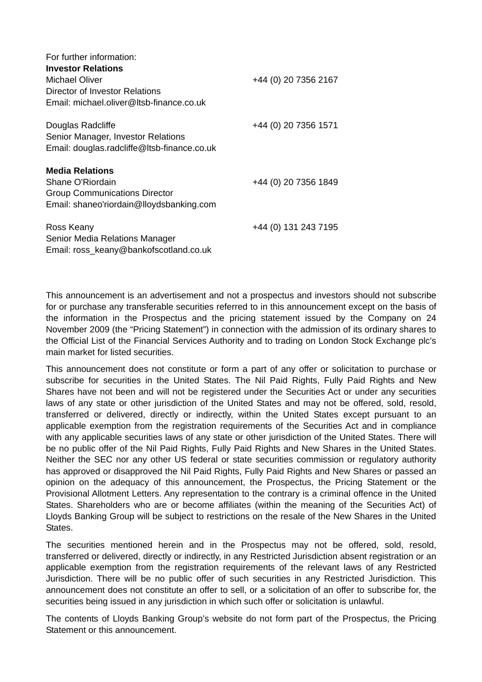| For further information:<br><b>Investor Relations</b><br>Michael Oliver | +44 (0) 20 7356 2167 |
|-------------------------------------------------------------------------|----------------------|
| Director of Investor Relations                                          |                      |
| Email: michael.oliver@Itsb-finance.co.uk                                |                      |
| Douglas Radcliffe                                                       | +44 (0) 20 7356 1571 |
| Senior Manager, Investor Relations                                      |                      |
| Email: douglas.radcliffe@ltsb-finance.co.uk                             |                      |
| <b>Media Relations</b>                                                  |                      |
| Shane O'Riordain                                                        | +44 (0) 20 7356 1849 |
| <b>Group Communications Director</b>                                    |                      |
| Email: shaneo'riordain@lloydsbanking.com                                |                      |
| Ross Keany                                                              | +44 (0) 131 243 7195 |
| Senior Media Relations Manager                                          |                      |
| Email: ross_keany@bankofscotland.co.uk                                  |                      |

This announcement is an advertisement and not a prospectus and investors should not subscribe for or purchase any transferable securities referred to in this announcement except on the basis of the information in the Prospectus and the pricing statement issued by the Company on 24 November 2009 (the "Pricing Statement") in connection with the admission of its ordinary shares to the Official List of the Financial Services Authority and to trading on London Stock Exchange plc's main market for listed securities.

This announcement does not constitute or form a part of any offer or solicitation to purchase or subscribe for securities in the United States. The Nil Paid Rights, Fully Paid Rights and New Shares have not been and will not be registered under the Securities Act or under any securities laws of any state or other jurisdiction of the United States and may not be offered, sold, resold, transferred or delivered, directly or indirectly, within the United States except pursuant to an applicable exemption from the registration requirements of the Securities Act and in compliance with any applicable securities laws of any state or other jurisdiction of the United States. There will be no public offer of the Nil Paid Rights, Fully Paid Rights and New Shares in the United States. Neither the SEC nor any other US federal or state securities commission or regulatory authority has approved or disapproved the Nil Paid Rights, Fully Paid Rights and New Shares or passed an opinion on the adequacy of this announcement, the Prospectus, the Pricing Statement or the Provisional Allotment Letters. Any representation to the contrary is a criminal offence in the United States. Shareholders who are or become affiliates (within the meaning of the Securities Act) of Lloyds Banking Group will be subject to restrictions on the resale of the New Shares in the United States.

The securities mentioned herein and in the Prospectus may not be offered, sold, resold, transferred or delivered, directly or indirectly, in any Restricted Jurisdiction absent registration or an applicable exemption from the registration requirements of the relevant laws of any Restricted Jurisdiction. There will be no public offer of such securities in any Restricted Jurisdiction. This announcement does not constitute an offer to sell, or a solicitation of an offer to subscribe for, the securities being issued in any jurisdiction in which such offer or solicitation is unlawful.

The contents of Lloyds Banking Group's website do not form part of the Prospectus, the Pricing Statement or this announcement.